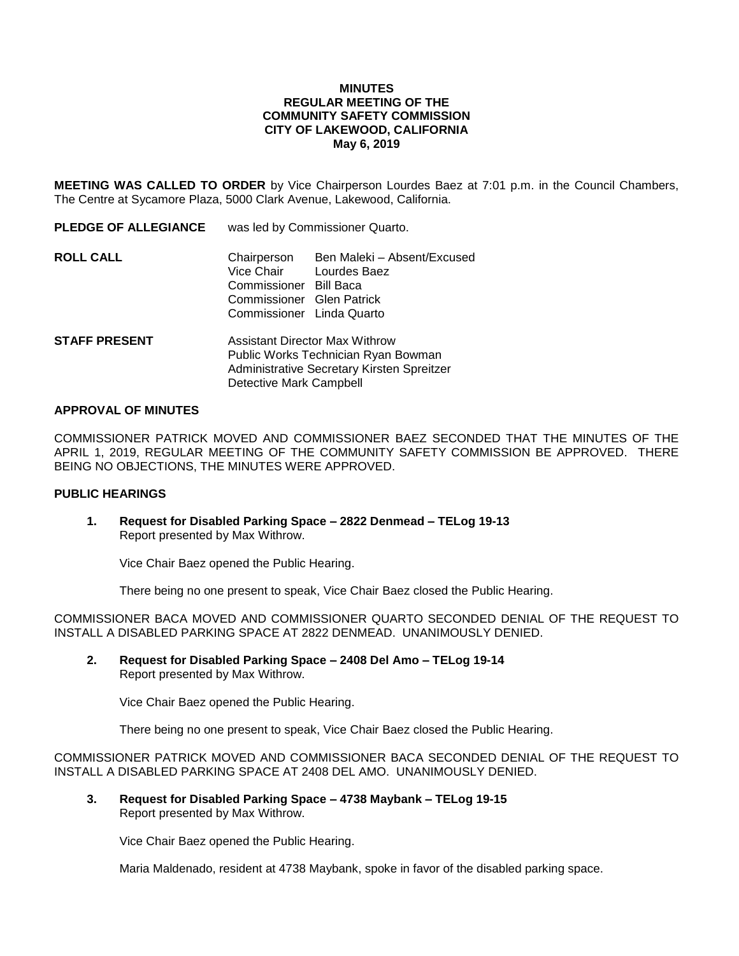## **MINUTES REGULAR MEETING OF THE COMMUNITY SAFETY COMMISSION CITY OF LAKEWOOD, CALIFORNIA May 6, 2019**

**MEETING WAS CALLED TO ORDER** by Vice Chairperson Lourdes Baez at 7:01 p.m. in the Council Chambers, The Centre at Sycamore Plaza, 5000 Clark Avenue, Lakewood, California.

| <b>PLEDGE OF ALLEGIANCE</b> | was led by Commissioner Quarto.                                                                                            |                                             |
|-----------------------------|----------------------------------------------------------------------------------------------------------------------------|---------------------------------------------|
| <b>ROLL CALL</b>            | Chairperson<br>Vice Chair<br>Commissioner Bill Baca<br>Commissioner Glen Patrick<br>Commissioner Linda Quarto              | Ben Maleki - Absent/Excused<br>Lourdes Baez |
| <b>STAFF PRESENT</b>        | <b>Assistant Director Max Withrow</b><br>Public Works Technician Ryan Bowman<br>Administrative Secretary Kirsten Spreitzer |                                             |

# **APPROVAL OF MINUTES**

COMMISSIONER PATRICK MOVED AND COMMISSIONER BAEZ SECONDED THAT THE MINUTES OF THE APRIL 1, 2019, REGULAR MEETING OF THE COMMUNITY SAFETY COMMISSION BE APPROVED. THERE BEING NO OBJECTIONS, THE MINUTES WERE APPROVED.

#### **PUBLIC HEARINGS**

**1. Request for Disabled Parking Space – 2822 Denmead – TELog 19-13** Report presented by Max Withrow.

Detective Mark Campbell

Vice Chair Baez opened the Public Hearing.

There being no one present to speak, Vice Chair Baez closed the Public Hearing.

COMMISSIONER BACA MOVED AND COMMISSIONER QUARTO SECONDED DENIAL OF THE REQUEST TO INSTALL A DISABLED PARKING SPACE AT 2822 DENMEAD. UNANIMOUSLY DENIED.

**2. Request for Disabled Parking Space – 2408 Del Amo – TELog 19-14** Report presented by Max Withrow.

Vice Chair Baez opened the Public Hearing.

There being no one present to speak, Vice Chair Baez closed the Public Hearing.

COMMISSIONER PATRICK MOVED AND COMMISSIONER BACA SECONDED DENIAL OF THE REQUEST TO INSTALL A DISABLED PARKING SPACE AT 2408 DEL AMO. UNANIMOUSLY DENIED.

**3. Request for Disabled Parking Space – 4738 Maybank – TELog 19-15** Report presented by Max Withrow.

Vice Chair Baez opened the Public Hearing.

Maria Maldenado, resident at 4738 Maybank, spoke in favor of the disabled parking space.